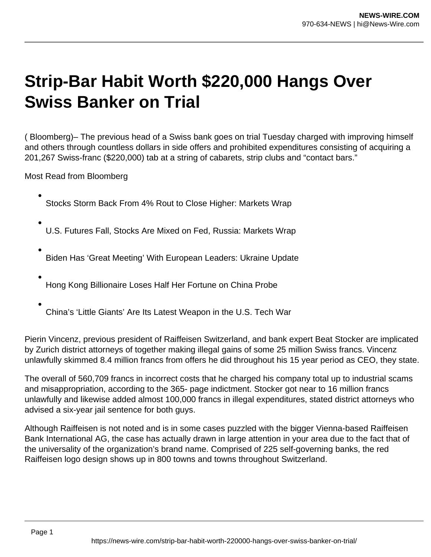## **Strip-Bar Habit Worth \$220,000 Hangs Over Swiss Banker on Trial**

( Bloomberg)– The previous head of a Swiss bank goes on trial Tuesday charged with improving himself and others through countless dollars in side offers and prohibited expenditures consisting of acquiring a 201,267 Swiss-franc (\$220,000) tab at a string of cabarets, strip clubs and "contact bars."

Most Read from Bloomberg

- Stocks Storm Back From 4% Rout to Close Higher: Markets Wrap
- U.S. Futures Fall, Stocks Are Mixed on Fed, Russia: Markets Wrap
- Biden Has 'Great Meeting' With European Leaders: Ukraine Update
- Hong Kong Billionaire Loses Half Her Fortune on China Probe
- China's 'Little Giants' Are Its Latest Weapon in the U.S. Tech War

Pierin Vincenz, previous president of Raiffeisen Switzerland, and bank expert Beat Stocker are implicated by Zurich district attorneys of together making illegal gains of some 25 million Swiss francs. Vincenz unlawfully skimmed 8.4 million francs from offers he did throughout his 15 year period as CEO, they state.

The overall of 560,709 francs in incorrect costs that he charged his company total up to industrial scams and misappropriation, according to the 365- page indictment. Stocker got near to 16 million francs unlawfully and likewise added almost 100,000 francs in illegal expenditures, stated district attorneys who advised a six-year jail sentence for both guys.

Although Raiffeisen is not noted and is in some cases puzzled with the bigger Vienna-based Raiffeisen Bank International AG, the case has actually drawn in large attention in your area due to the fact that of the universality of the organization's brand name. Comprised of 225 self-governing banks, the red Raiffeisen logo design shows up in 800 towns and towns throughout Switzerland.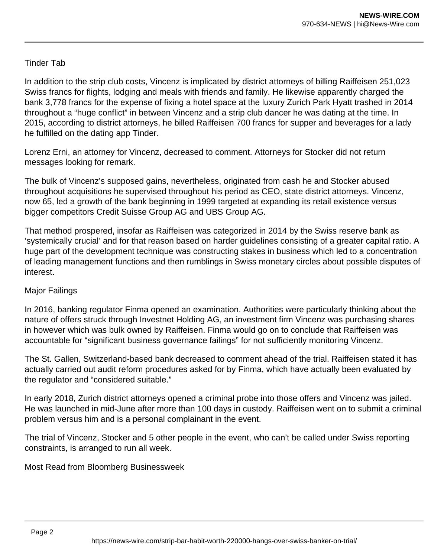## Tinder Tab

In addition to the strip club costs, Vincenz is implicated by district attorneys of billing Raiffeisen 251,023 Swiss francs for flights, lodging and meals with friends and family. He likewise apparently charged the bank 3,778 francs for the expense of fixing a hotel space at the luxury Zurich Park Hyatt trashed in 2014 throughout a "huge conflict" in between Vincenz and a strip club dancer he was dating at the time. In 2015, according to district attorneys, he billed Raiffeisen 700 francs for supper and beverages for a lady he fulfilled on the dating app Tinder.

Lorenz Erni, an attorney for Vincenz, decreased to comment. Attorneys for Stocker did not return messages looking for remark.

The bulk of Vincenz's supposed gains, nevertheless, originated from cash he and Stocker abused throughout acquisitions he supervised throughout his period as CEO, state district attorneys. Vincenz, now 65, led a growth of the bank beginning in 1999 targeted at expanding its retail existence versus bigger competitors Credit Suisse Group AG and UBS Group AG.

That method prospered, insofar as Raiffeisen was categorized in 2014 by the Swiss reserve bank as 'systemically crucial' and for that reason based on harder guidelines consisting of a greater capital ratio. A huge part of the development technique was constructing stakes in business which led to a concentration of leading management functions and then rumblings in Swiss monetary circles about possible disputes of interest.

## Major Failings

In 2016, banking regulator Finma opened an examination. Authorities were particularly thinking about the nature of offers struck through Investnet Holding AG, an investment firm Vincenz was purchasing shares in however which was bulk owned by Raiffeisen. Finma would go on to conclude that Raiffeisen was accountable for "significant business governance failings" for not sufficiently monitoring Vincenz.

The St. Gallen, Switzerland-based bank decreased to comment ahead of the trial. Raiffeisen stated it has actually carried out audit reform procedures asked for by Finma, which have actually been evaluated by the regulator and "considered suitable."

In early 2018, Zurich district attorneys opened a criminal probe into those offers and Vincenz was jailed. He was launched in mid-June after more than 100 days in custody. Raiffeisen went on to submit a criminal problem versus him and is a personal complainant in the event.

The trial of Vincenz, Stocker and 5 other people in the event, who can't be called under Swiss reporting constraints, is arranged to run all week.

Most Read from Bloomberg Businessweek